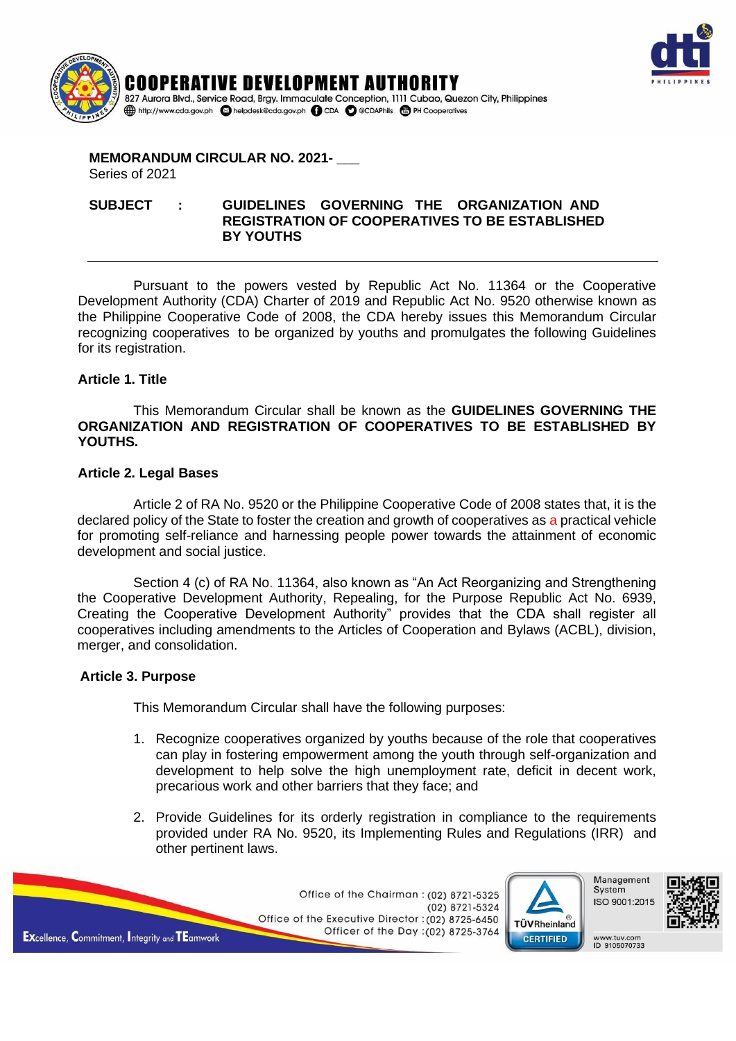



#### **MEMORANDUM CIRCULAR NO. 2021- \_\_\_** Series of 2021

#### **SUBJECT : GUIDELINES GOVERNING THE ORGANIZATION AND REGISTRATION OF COOPERATIVES TO BE ESTABLISHED BY YOUTHS**

Pursuant to the powers vested by Republic Act No. 11364 or the Cooperative Development Authority (CDA) Charter of 2019 and Republic Act No. 9520 otherwise known as the Philippine Cooperative Code of 2008, the CDA hereby issues this Memorandum Circular recognizing cooperatives to be organized by youths and promulgates the following Guidelines for its registration.

### **Article 1. Title**

This Memorandum Circular shall be known as the **GUIDELINES GOVERNING THE ORGANIZATION AND REGISTRATION OF COOPERATIVES TO BE ESTABLISHED BY YOUTHS.** 

#### **Article 2. Legal Bases**

Article 2 of RA No. 9520 or the Philippine Cooperative Code of 2008 states that, it is the declared policy of the State to foster the creation and growth of cooperatives as a practical vehicle for promoting self-reliance and harnessing people power towards the attainment of economic development and social justice.

Section 4 (c) of RA No. 11364, also known as "An Act Reorganizing and Strengthening the Cooperative Development Authority, Repealing, for the Purpose Republic Act No. 6939, Creating the Cooperative Development Authority" provides that the CDA shall register all cooperatives including amendments to the Articles of Cooperation and Bylaws (ACBL), division, merger, and consolidation.

### **Article 3. Purpose**

This Memorandum Circular shall have the following purposes:

- 1. Recognize cooperatives organized by youths because of the role that cooperatives can play in fostering empowerment among the youth through self-organization and development to help solve the high unemployment rate, deficit in decent work, precarious work and other barriers that they face; and
- 2. Provide Guidelines for its orderly registration in compliance to the requirements provided under RA No. 9520, its Implementing Rules and Regulations (IRR) and other pertinent laws.

Office of the Chairman: (02) 8721-5325 (02) 8721-5324 Office of the Executive Director : (02) 8725-6450 Officer of the Day : (02) 8725-3764

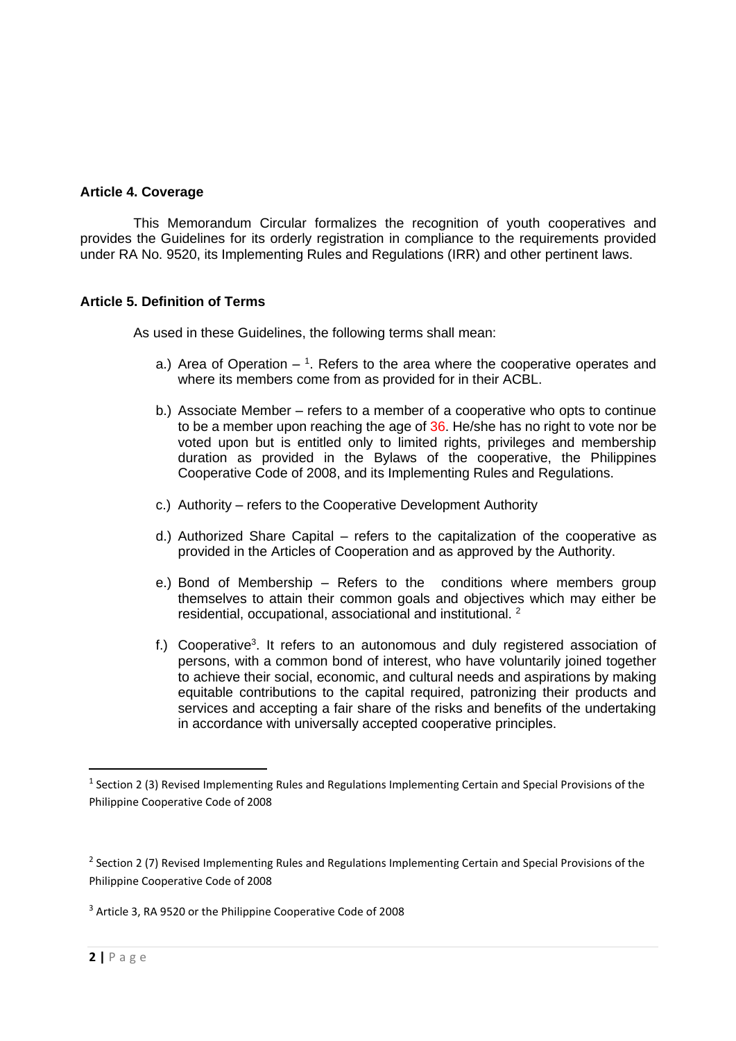#### **Article 4. Coverage**

This Memorandum Circular formalizes the recognition of youth cooperatives and provides the Guidelines for its orderly registration in compliance to the requirements provided under RA No. 9520, its Implementing Rules and Regulations (IRR) and other pertinent laws.

### **Article 5. Definition of Terms**

As used in these Guidelines, the following terms shall mean:

- a.) Area of Operation  $-1$ . Refers to the area where the cooperative operates and where its members come from as provided for in their ACBL.
- b.) Associate Member refers to a member of a cooperative who opts to continue to be a member upon reaching the age of 36. He/she has no right to vote nor be voted upon but is entitled only to limited rights, privileges and membership duration as provided in the Bylaws of the cooperative, the Philippines Cooperative Code of 2008, and its Implementing Rules and Regulations.
- c.) Authority refers to the Cooperative Development Authority
- d.) Authorized Share Capital refers to the capitalization of the cooperative as provided in the Articles of Cooperation and as approved by the Authority.
- e.) Bond of Membership Refers to the conditions where members group themselves to attain their common goals and objectives which may either be residential, occupational, associational and institutional. <sup>2</sup>
- f.) Cooperative<sup>3</sup>. It refers to an autonomous and duly registered association of persons, with a common bond of interest, who have voluntarily joined together to achieve their social, economic, and cultural needs and aspirations by making equitable contributions to the capital required, patronizing their products and services and accepting a fair share of the risks and benefits of the undertaking in accordance with universally accepted cooperative principles.

<sup>3</sup> Article 3, RA 9520 or the Philippine Cooperative Code of 2008

<sup>&</sup>lt;sup>1</sup> Section 2 (3) Revised Implementing Rules and Regulations Implementing Certain and Special Provisions of the Philippine Cooperative Code of 2008

<sup>&</sup>lt;sup>2</sup> Section 2 (7) Revised Implementing Rules and Regulations Implementing Certain and Special Provisions of the Philippine Cooperative Code of 2008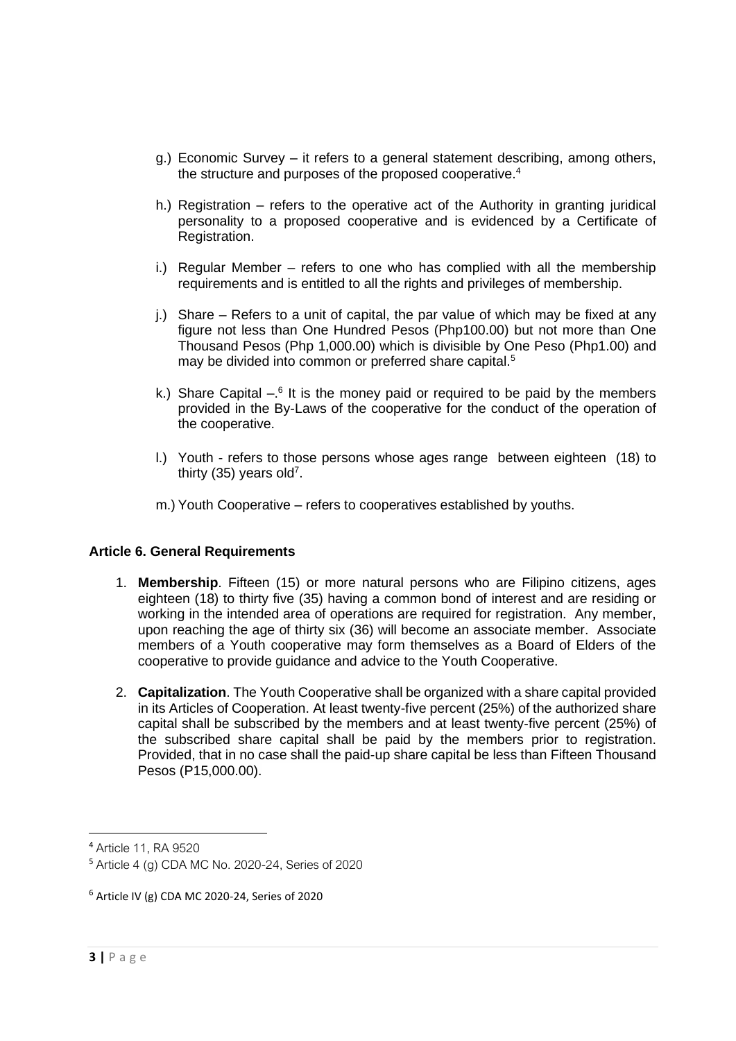- g.) Economic Survey it refers to a general statement describing, among others, the structure and purposes of the proposed cooperative.<sup>4</sup>
- h.) Registration refers to the operative act of the Authority in granting juridical personality to a proposed cooperative and is evidenced by a Certificate of Registration.
- i.) Regular Member refers to one who has complied with all the membership requirements and is entitled to all the rights and privileges of membership.
- j.) Share Refers to a unit of capital, the par value of which may be fixed at any figure not less than One Hundred Pesos (Php100.00) but not more than One Thousand Pesos (Php 1,000.00) which is divisible by One Peso (Php1.00) and may be divided into common or preferred share capital.<sup>5</sup>
- k.) Share Capital  $-$ <sup>6</sup> It is the money paid or required to be paid by the members provided in the By-Laws of the cooperative for the conduct of the operation of the cooperative.
- l.) Youth refers to those persons whose ages range between eighteen (18) to thirty (35) years old<sup>7</sup>.
- m.) Youth Cooperative refers to cooperatives established by youths.

### **Article 6. General Requirements**

- 1. **Membership**. Fifteen (15) or more natural persons who are Filipino citizens, ages eighteen (18) to thirty five (35) having a common bond of interest and are residing or working in the intended area of operations are required for registration. Any member, upon reaching the age of thirty six (36) will become an associate member. Associate members of a Youth cooperative may form themselves as a Board of Elders of the cooperative to provide guidance and advice to the Youth Cooperative.
- 2. **Capitalization**. The Youth Cooperative shall be organized with a share capital provided in its Articles of Cooperation. At least twenty-five percent (25%) of the authorized share capital shall be subscribed by the members and at least twenty-five percent (25%) of the subscribed share capital shall be paid by the members prior to registration. Provided, that in no case shall the paid-up share capital be less than Fifteen Thousand Pesos (P15,000.00).

<sup>4</sup> Article 11, RA 9520

<sup>5</sup> Article 4 (g) CDA MC No. 2020-24, Series of 2020

 $6$  Article IV (g) CDA MC 2020-24, Series of 2020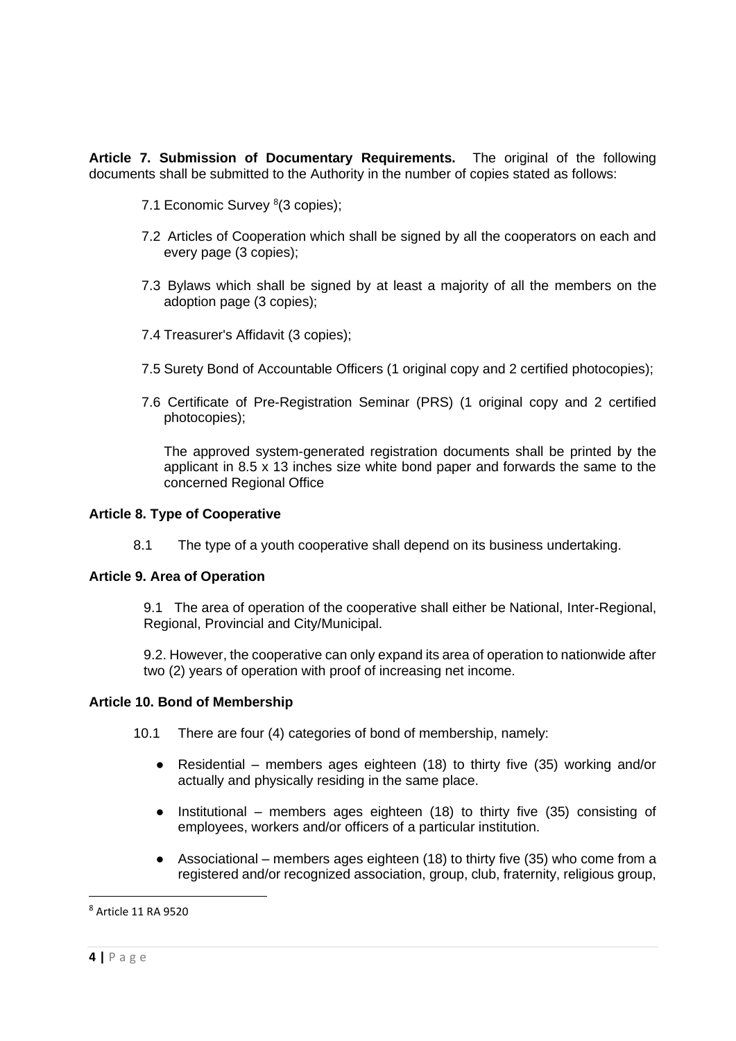**Article 7. Submission of Documentary Requirements.** The original of the following documents shall be submitted to the Authority in the number of copies stated as follows:

- 7.1 Economic Survey <sup>8</sup>(3 copies);
- 7.2 Articles of Cooperation which shall be signed by all the cooperators on each and every page (3 copies);
- 7.3 Bylaws which shall be signed by at least a majority of all the members on the adoption page (3 copies);
- 7.4 Treasurer's Affidavit (3 copies);
- 7.5 Surety Bond of Accountable Officers (1 original copy and 2 certified photocopies);
- 7.6 Certificate of Pre-Registration Seminar (PRS) (1 original copy and 2 certified photocopies);

The approved system-generated registration documents shall be printed by the applicant in 8.5 x 13 inches size white bond paper and forwards the same to the concerned Regional Office

#### **Article 8. Type of Cooperative**

8.1 The type of a youth cooperative shall depend on its business undertaking.

#### **Article 9. Area of Operation**

9.1 The area of operation of the cooperative shall either be National, Inter-Regional, Regional, Provincial and City/Municipal.

9.2. However, the cooperative can only expand its area of operation to nationwide after two (2) years of operation with proof of increasing net income.

#### **Article 10. Bond of Membership**

- 10.1 There are four (4) categories of bond of membership, namely:
	- Residential members ages eighteen (18) to thirty five (35) working and/or actually and physically residing in the same place.
	- Institutional members ages eighteen (18) to thirty five (35) consisting of employees, workers and/or officers of a particular institution.
	- Associational members ages eighteen (18) to thirty five (35) who come from a registered and/or recognized association, group, club, fraternity, religious group,

<sup>8</sup> Article 11 RA 9520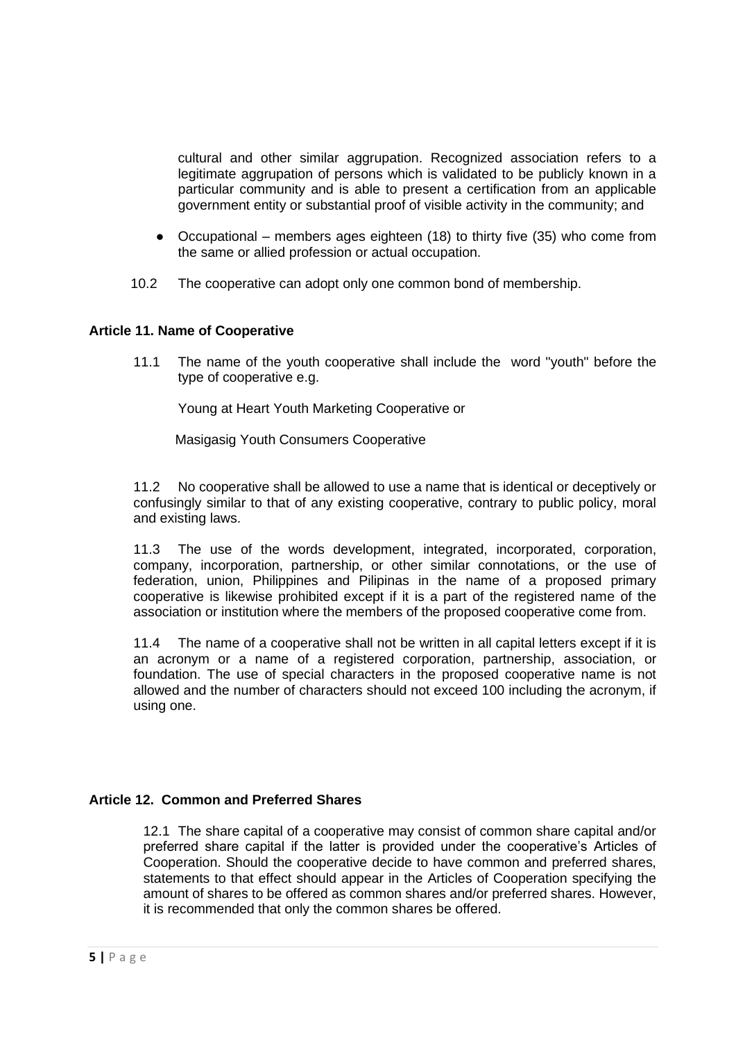cultural and other similar aggrupation. Recognized association refers to a legitimate aggrupation of persons which is validated to be publicly known in a particular community and is able to present a certification from an applicable government entity or substantial proof of visible activity in the community; and

- Occupational members ages eighteen (18) to thirty five (35) who come from the same or allied profession or actual occupation.
- 10.2 The cooperative can adopt only one common bond of membership.

#### **Article 11. Name of Cooperative**

11.1 The name of the youth cooperative shall include the word "youth" before the type of cooperative e.g.

Young at Heart Youth Marketing Cooperative or

Masigasig Youth Consumers Cooperative

11.2 No cooperative shall be allowed to use a name that is identical or deceptively or confusingly similar to that of any existing cooperative, contrary to public policy, moral and existing laws.

11.3 The use of the words development, integrated, incorporated, corporation, company, incorporation, partnership, or other similar connotations, or the use of federation, union, Philippines and Pilipinas in the name of a proposed primary cooperative is likewise prohibited except if it is a part of the registered name of the association or institution where the members of the proposed cooperative come from.

11.4 The name of a cooperative shall not be written in all capital letters except if it is an acronym or a name of a registered corporation, partnership, association, or foundation. The use of special characters in the proposed cooperative name is not allowed and the number of characters should not exceed 100 including the acronym, if using one.

### **Article 12. Common and Preferred Shares**

12.1 The share capital of a cooperative may consist of common share capital and/or preferred share capital if the latter is provided under the cooperative's Articles of Cooperation. Should the cooperative decide to have common and preferred shares, statements to that effect should appear in the Articles of Cooperation specifying the amount of shares to be offered as common shares and/or preferred shares. However, it is recommended that only the common shares be offered.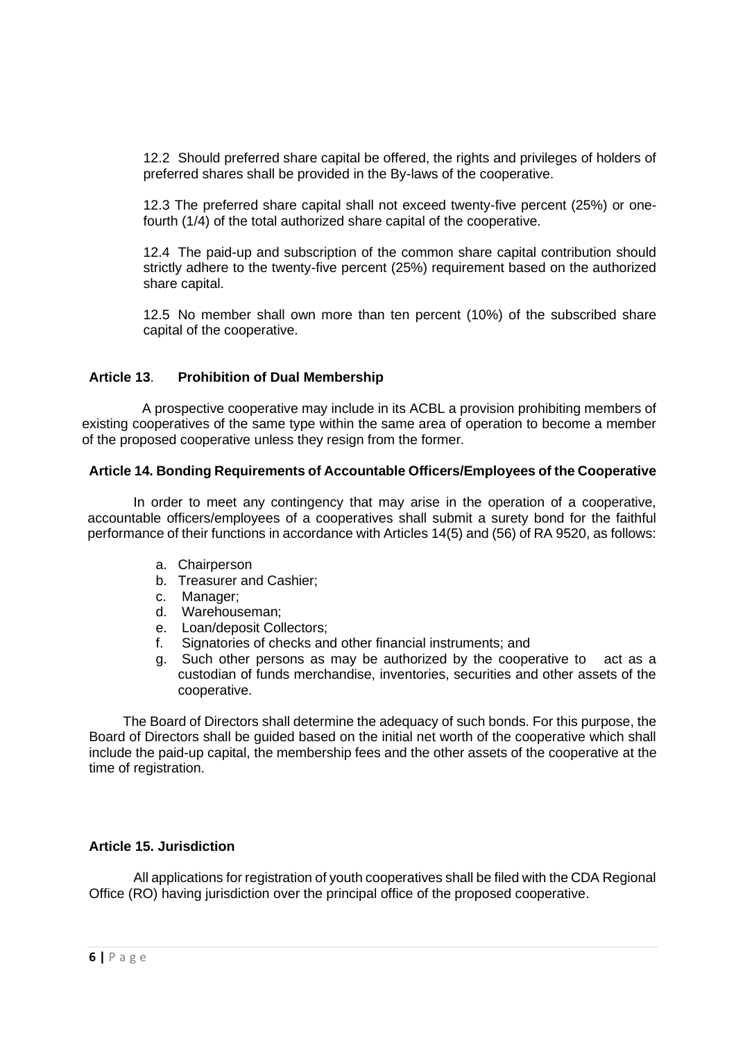12.2 Should preferred share capital be offered, the rights and privileges of holders of preferred shares shall be provided in the By-laws of the cooperative.

12.3 The preferred share capital shall not exceed twenty-five percent (25%) or onefourth (1/4) of the total authorized share capital of the cooperative.

12.4 The paid-up and subscription of the common share capital contribution should strictly adhere to the twenty-five percent (25%) requirement based on the authorized share capital.

12.5 No member shall own more than ten percent (10%) of the subscribed share capital of the cooperative.

# **Article 13**. **Prohibition of Dual Membership**

 A prospective cooperative may include in its ACBL a provision prohibiting members of existing cooperatives of the same type within the same area of operation to become a member of the proposed cooperative unless they resign from the former.

### **Article 14. Bonding Requirements of Accountable Officers/Employees of the Cooperative**

In order to meet any contingency that may arise in the operation of a cooperative, accountable officers/employees of a cooperatives shall submit a surety bond for the faithful performance of their functions in accordance with Articles 14(5) and (56) of RA 9520, as follows:

- a. Chairperson
- b. Treasurer and Cashier;
- c. Manager;
- d. Warehouseman;
- e. Loan/deposit Collectors;
- f. Signatories of checks and other financial instruments; and
- g. Such other persons as may be authorized by the cooperative to act as a custodian of funds merchandise, inventories, securities and other assets of the cooperative.

 The Board of Directors shall determine the adequacy of such bonds. For this purpose, the Board of Directors shall be guided based on the initial net worth of the cooperative which shall include the paid-up capital, the membership fees and the other assets of the cooperative at the time of registration.

# **Article 15. Jurisdiction**

All applications for registration of youth cooperatives shall be filed with the CDA Regional Office (RO) having jurisdiction over the principal office of the proposed cooperative.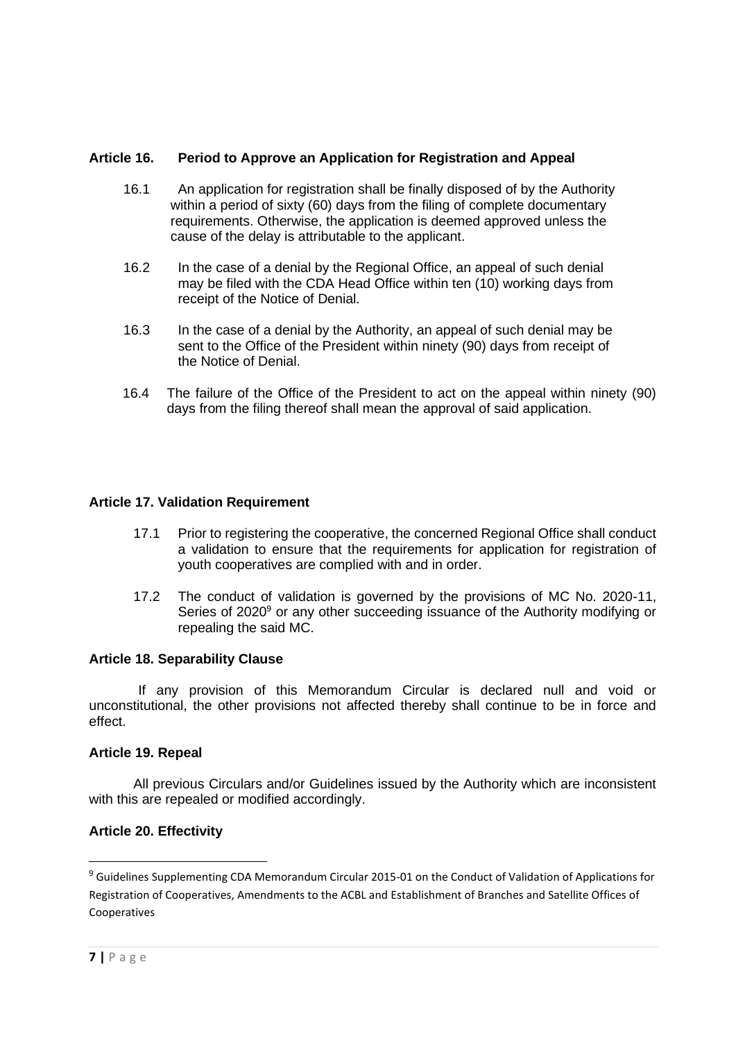# **Article 16. Period to Approve an Application for Registration and Appeal**

- 16.1 An application for registration shall be finally disposed of by the Authority within a period of sixty (60) days from the filing of complete documentary requirements. Otherwise, the application is deemed approved unless the cause of the delay is attributable to the applicant.
- 16.2 In the case of a denial by the Regional Office, an appeal of such denial may be filed with the CDA Head Office within ten (10) working days from receipt of the Notice of Denial.
- 16.3 In the case of a denial by the Authority, an appeal of such denial may be sent to the Office of the President within ninety (90) days from receipt of the Notice of Denial.
- 16.4 The failure of the Office of the President to act on the appeal within ninety (90) days from the filing thereof shall mean the approval of said application.

# **Article 17. Validation Requirement**

- 17.1 Prior to registering the cooperative, the concerned Regional Office shall conduct a validation to ensure that the requirements for application for registration of youth cooperatives are complied with and in order.
- 17.2 The conduct of validation is governed by the provisions of MC No. 2020-11, Series of 2020<sup>9</sup> or any other succeeding issuance of the Authority modifying or repealing the said MC.

### **Article 18. Separability Clause**

 If any provision of this Memorandum Circular is declared null and void or unconstitutional, the other provisions not affected thereby shall continue to be in force and effect.

### **Article 19. Repeal**

All previous Circulars and/or Guidelines issued by the Authority which are inconsistent with this are repealed or modified accordingly.

### **Article 20. Effectivity**

<sup>&</sup>lt;sup>9</sup> Guidelines Supplementing CDA Memorandum Circular 2015-01 on the Conduct of Validation of Applications for Registration of Cooperatives, Amendments to the ACBL and Establishment of Branches and Satellite Offices of Cooperatives